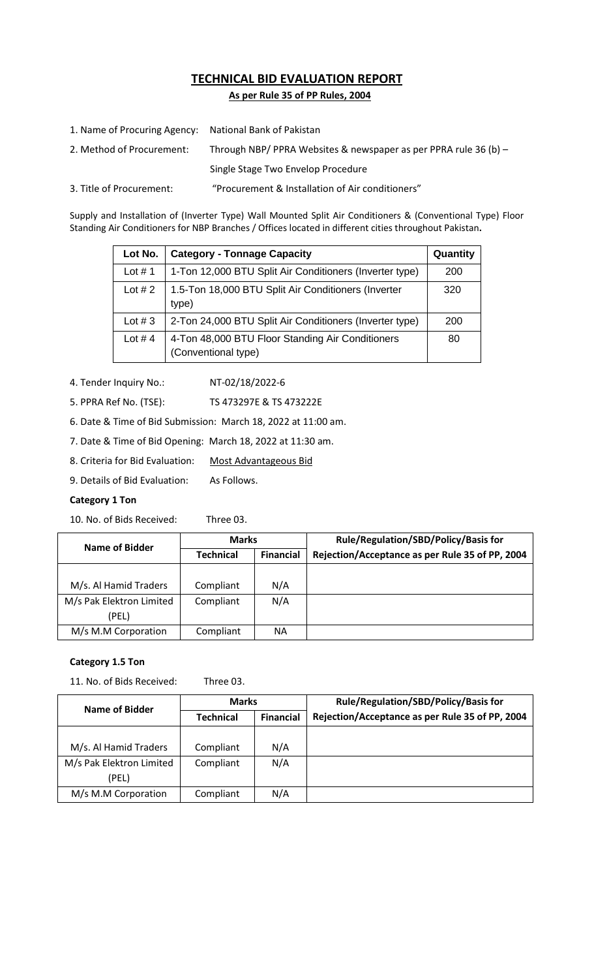# **TECHNICAL BID EVALUATION REPORT**

 **As per Rule 35 of PP Rules, 2004**

| 1. Name of Procuring Agency: National Bank of Pakistan |                                                                    |
|--------------------------------------------------------|--------------------------------------------------------------------|
| 2. Method of Procurement:                              | Through NBP/ PPRA Websites & newspaper as per PPRA rule 36 (b) $-$ |
|                                                        | Single Stage Two Envelop Procedure                                 |
| 3. Title of Procurement:                               | "Procurement & Installation of Air conditioners"                   |

Supply and Installation of (Inverter Type) Wall Mounted Split Air Conditioners & (Conventional Type) Floor Standing Air Conditioners for NBP Branches / Offices located in different cities throughout Pakistan**.**

| Lot No.   | <b>Category - Tonnage Capacity</b>                                      | Quantity |
|-----------|-------------------------------------------------------------------------|----------|
| Lot $# 1$ | 1-Ton 12,000 BTU Split Air Conditioners (Inverter type)                 | 200      |
| Lot $# 2$ | 1.5-Ton 18,000 BTU Split Air Conditioners (Inverter<br>type)            | 320      |
| Lot $#3$  | 2-Ton 24,000 BTU Split Air Conditioners (Inverter type)                 | 200      |
| Lot #4    | 4-Ton 48,000 BTU Floor Standing Air Conditioners<br>(Conventional type) | 80       |

- 4. Tender Inquiry No.: NT-02/18/2022-6
- 5. PPRA Ref No. (TSE): TS 473297E & TS 473222E
- 6. Date & Time of Bid Submission: March 18, 2022 at 11:00 am.
- 7. Date & Time of Bid Opening: March 18, 2022 at 11:30 am.
- 8. Criteria for Bid Evaluation: Most Advantageous Bid
- 9. Details of Bid Evaluation: As Follows.

## **Category 1 Ton**

10. No. of Bids Received: Three 03.

| Name of Bidder           | <b>Marks</b>     |                  | Rule/Regulation/SBD/Policy/Basis for            |
|--------------------------|------------------|------------------|-------------------------------------------------|
|                          | <b>Technical</b> | <b>Financial</b> | Rejection/Acceptance as per Rule 35 of PP, 2004 |
|                          |                  |                  |                                                 |
| M/s. Al Hamid Traders    | Compliant        | N/A              |                                                 |
| M/s Pak Elektron Limited | Compliant        | N/A              |                                                 |
| (PEL)                    |                  |                  |                                                 |
| M/s M.M Corporation      | Compliant        | ΝA               |                                                 |

## **Category 1.5 Ton**

11. No. of Bids Received: Three 03.

| Name of Bidder           | <b>Marks</b>     |                  | Rule/Regulation/SBD/Policy/Basis for            |  |
|--------------------------|------------------|------------------|-------------------------------------------------|--|
|                          | <b>Technical</b> | <b>Financial</b> | Rejection/Acceptance as per Rule 35 of PP, 2004 |  |
|                          |                  |                  |                                                 |  |
| M/s. Al Hamid Traders    | Compliant        | N/A              |                                                 |  |
| M/s Pak Elektron Limited | Compliant        | N/A              |                                                 |  |
| (PEL)                    |                  |                  |                                                 |  |
| M/s M.M Corporation      | Compliant        | N/A              |                                                 |  |